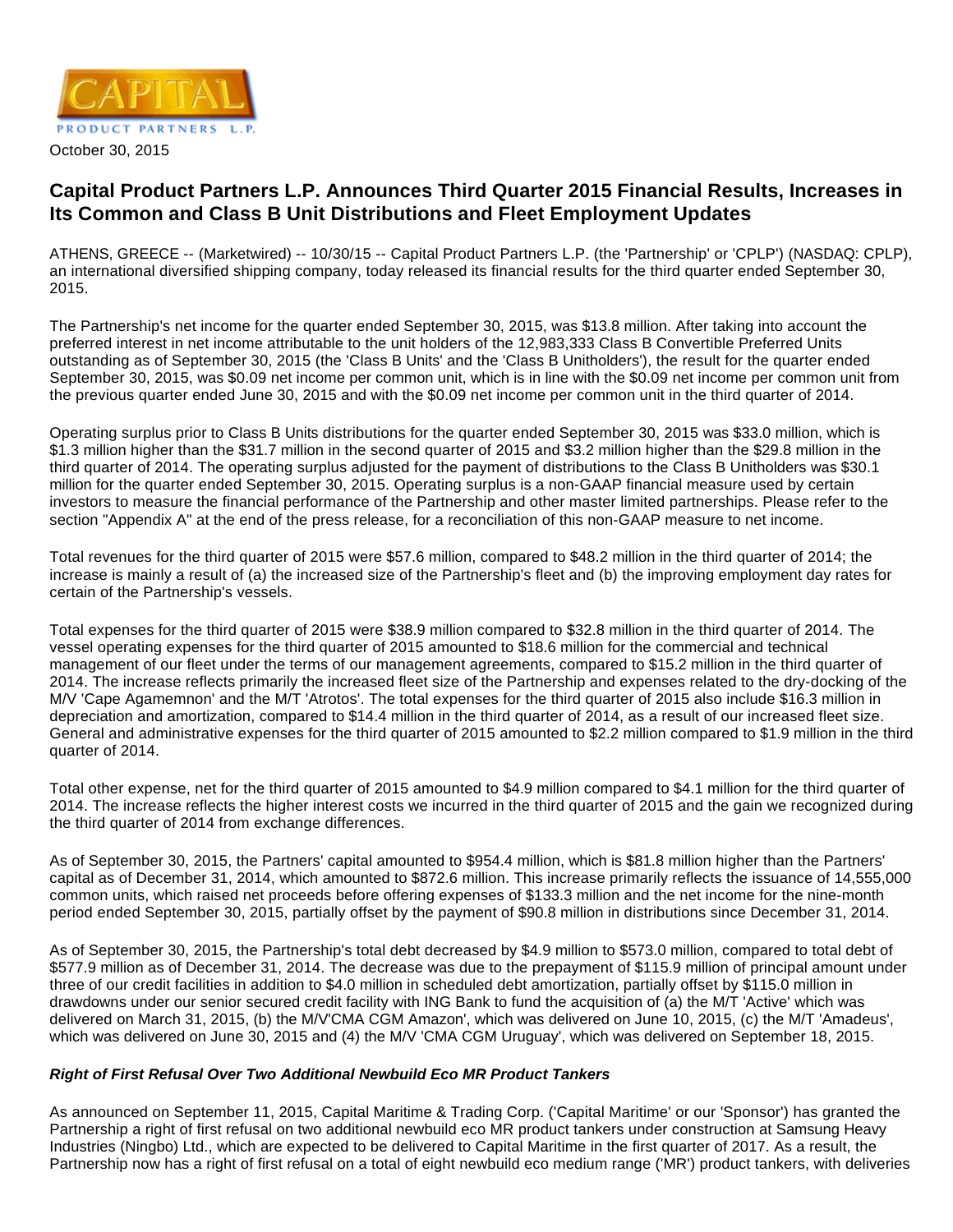

# **Capital Product Partners L.P. Announces Third Quarter 2015 Financial Results, Increases in Its Common and Class B Unit Distributions and Fleet Employment Updates**

ATHENS, GREECE -- (Marketwired) -- 10/30/15 -- Capital Product Partners L.P. (the 'Partnership' or 'CPLP') (NASDAQ: CPLP), an international diversified shipping company, today released its financial results for the third quarter ended September 30, 2015.

The Partnership's net income for the quarter ended September 30, 2015, was \$13.8 million. After taking into account the preferred interest in net income attributable to the unit holders of the 12,983,333 Class B Convertible Preferred Units outstanding as of September 30, 2015 (the 'Class B Units' and the 'Class B Unitholders'), the result for the quarter ended September 30, 2015, was \$0.09 net income per common unit, which is in line with the \$0.09 net income per common unit from the previous quarter ended June 30, 2015 and with the \$0.09 net income per common unit in the third quarter of 2014.

Operating surplus prior to Class B Units distributions for the quarter ended September 30, 2015 was \$33.0 million, which is \$1.3 million higher than the \$31.7 million in the second quarter of 2015 and \$3.2 million higher than the \$29.8 million in the third quarter of 2014. The operating surplus adjusted for the payment of distributions to the Class B Unitholders was \$30.1 million for the quarter ended September 30, 2015. Operating surplus is a non-GAAP financial measure used by certain investors to measure the financial performance of the Partnership and other master limited partnerships. Please refer to the section "Appendix A" at the end of the press release, for a reconciliation of this non-GAAP measure to net income.

Total revenues for the third quarter of 2015 were \$57.6 million, compared to \$48.2 million in the third quarter of 2014; the increase is mainly a result of (a) the increased size of the Partnership's fleet and (b) the improving employment day rates for certain of the Partnership's vessels.

Total expenses for the third quarter of 2015 were \$38.9 million compared to \$32.8 million in the third quarter of 2014. The vessel operating expenses for the third quarter of 2015 amounted to \$18.6 million for the commercial and technical management of our fleet under the terms of our management agreements, compared to \$15.2 million in the third quarter of 2014. The increase reflects primarily the increased fleet size of the Partnership and expenses related to the dry-docking of the M/V 'Cape Agamemnon' and the M/T 'Atrotos'. The total expenses for the third quarter of 2015 also include \$16.3 million in depreciation and amortization, compared to \$14.4 million in the third quarter of 2014, as a result of our increased fleet size. General and administrative expenses for the third quarter of 2015 amounted to \$2.2 million compared to \$1.9 million in the third quarter of 2014.

Total other expense, net for the third quarter of 2015 amounted to \$4.9 million compared to \$4.1 million for the third quarter of 2014. The increase reflects the higher interest costs we incurred in the third quarter of 2015 and the gain we recognized during the third quarter of 2014 from exchange differences.

As of September 30, 2015, the Partners' capital amounted to \$954.4 million, which is \$81.8 million higher than the Partners' capital as of December 31, 2014, which amounted to \$872.6 million. This increase primarily reflects the issuance of 14,555,000 common units, which raised net proceeds before offering expenses of \$133.3 million and the net income for the nine-month period ended September 30, 2015, partially offset by the payment of \$90.8 million in distributions since December 31, 2014.

As of September 30, 2015, the Partnership's total debt decreased by \$4.9 million to \$573.0 million, compared to total debt of \$577.9 million as of December 31, 2014. The decrease was due to the prepayment of \$115.9 million of principal amount under three of our credit facilities in addition to \$4.0 million in scheduled debt amortization, partially offset by \$115.0 million in drawdowns under our senior secured credit facility with ING Bank to fund the acquisition of (a) the M/T 'Active' which was delivered on March 31, 2015, (b) the M/V'CMA CGM Amazon', which was delivered on June 10, 2015, (c) the M/T 'Amadeus', which was delivered on June 30, 2015 and (4) the M/V 'CMA CGM Uruguay', which was delivered on September 18, 2015.

# **Right of First Refusal Over Two Additional Newbuild Eco MR Product Tankers**

As announced on September 11, 2015, Capital Maritime & Trading Corp. ('Capital Maritime' or our 'Sponsor') has granted the Partnership a right of first refusal on two additional newbuild eco MR product tankers under construction at Samsung Heavy Industries (Ningbo) Ltd., which are expected to be delivered to Capital Maritime in the first quarter of 2017. As a result, the Partnership now has a right of first refusal on a total of eight newbuild eco medium range ('MR') product tankers, with deliveries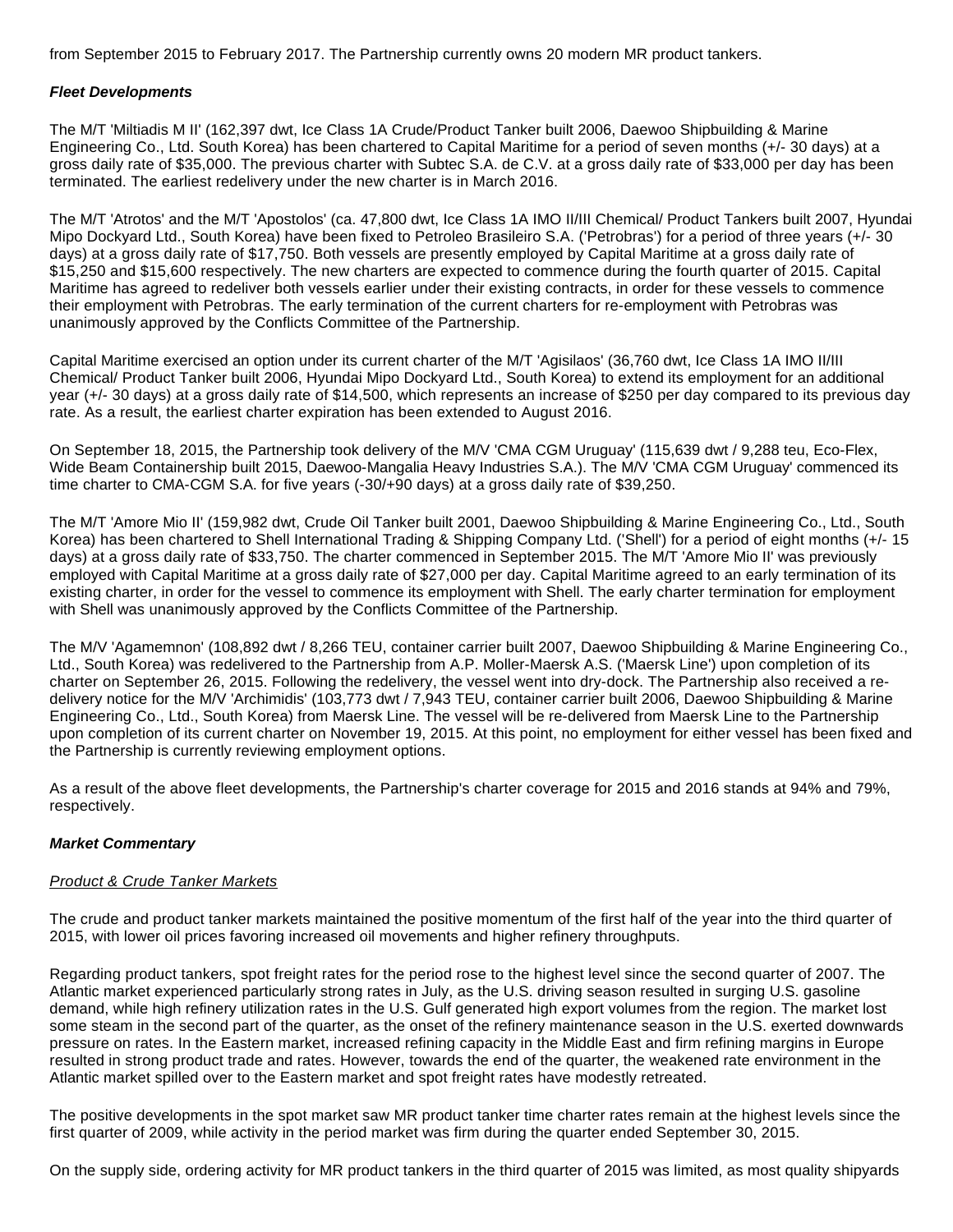from September 2015 to February 2017. The Partnership currently owns 20 modern MR product tankers.

#### **Fleet Developments**

The M/T 'Miltiadis M II' (162,397 dwt, Ice Class 1A Crude/Product Tanker built 2006, Daewoo Shipbuilding & Marine Engineering Co., Ltd. South Korea) has been chartered to Capital Maritime for a period of seven months (+/- 30 days) at a gross daily rate of \$35,000. The previous charter with Subtec S.A. de C.V. at a gross daily rate of \$33,000 per day has been terminated. The earliest redelivery under the new charter is in March 2016.

The M/T 'Atrotos' and the M/T 'Apostolos' (ca. 47,800 dwt, Ice Class 1A IMO II/III Chemical/ Product Tankers built 2007, Hyundai Mipo Dockyard Ltd., South Korea) have been fixed to Petroleo Brasileiro S.A. ('Petrobras') for a period of three years (+/- 30 days) at a gross daily rate of \$17,750. Both vessels are presently employed by Capital Maritime at a gross daily rate of \$15,250 and \$15,600 respectively. The new charters are expected to commence during the fourth quarter of 2015. Capital Maritime has agreed to redeliver both vessels earlier under their existing contracts, in order for these vessels to commence their employment with Petrobras. The early termination of the current charters for re-employment with Petrobras was unanimously approved by the Conflicts Committee of the Partnership.

Capital Maritime exercised an option under its current charter of the M/T 'Agisilaos' (36,760 dwt, Ice Class 1A IMO II/III Chemical/ Product Tanker built 2006, Hyundai Mipo Dockyard Ltd., South Korea) to extend its employment for an additional year (+/- 30 days) at a gross daily rate of \$14,500, which represents an increase of \$250 per day compared to its previous day rate. As a result, the earliest charter expiration has been extended to August 2016.

On September 18, 2015, the Partnership took delivery of the M/V 'CMA CGM Uruguay' (115,639 dwt / 9,288 teu, Eco-Flex, Wide Beam Containership built 2015, Daewoo-Mangalia Heavy Industries S.A.). The M/V 'CMA CGM Uruguay' commenced its time charter to CMA-CGM S.A. for five years (-30/+90 days) at a gross daily rate of \$39,250.

The M/T 'Amore Mio II' (159,982 dwt, Crude Oil Tanker built 2001, Daewoo Shipbuilding & Marine Engineering Co., Ltd., South Korea) has been chartered to Shell International Trading & Shipping Company Ltd. ('Shell') for a period of eight months (+/- 15 days) at a gross daily rate of \$33,750. The charter commenced in September 2015. The M/T 'Amore Mio II' was previously employed with Capital Maritime at a gross daily rate of \$27,000 per day. Capital Maritime agreed to an early termination of its existing charter, in order for the vessel to commence its employment with Shell. The early charter termination for employment with Shell was unanimously approved by the Conflicts Committee of the Partnership.

The M/V 'Agamemnon' (108,892 dwt / 8,266 TEU, container carrier built 2007, Daewoo Shipbuilding & Marine Engineering Co., Ltd., South Korea) was redelivered to the Partnership from A.P. Moller-Maersk A.S. ('Maersk Line') upon completion of its charter on September 26, 2015. Following the redelivery, the vessel went into dry-dock. The Partnership also received a redelivery notice for the M/V 'Archimidis' (103,773 dwt / 7,943 TEU, container carrier built 2006, Daewoo Shipbuilding & Marine Engineering Co., Ltd., South Korea) from Maersk Line. The vessel will be re-delivered from Maersk Line to the Partnership upon completion of its current charter on November 19, 2015. At this point, no employment for either vessel has been fixed and the Partnership is currently reviewing employment options.

As a result of the above fleet developments, the Partnership's charter coverage for 2015 and 2016 stands at 94% and 79%, respectively.

# **Market Commentary**

# Product & Crude Tanker Markets

The crude and product tanker markets maintained the positive momentum of the first half of the year into the third quarter of 2015, with lower oil prices favoring increased oil movements and higher refinery throughputs.

Regarding product tankers, spot freight rates for the period rose to the highest level since the second quarter of 2007. The Atlantic market experienced particularly strong rates in July, as the U.S. driving season resulted in surging U.S. gasoline demand, while high refinery utilization rates in the U.S. Gulf generated high export volumes from the region. The market lost some steam in the second part of the quarter, as the onset of the refinery maintenance season in the U.S. exerted downwards pressure on rates. In the Eastern market, increased refining capacity in the Middle East and firm refining margins in Europe resulted in strong product trade and rates. However, towards the end of the quarter, the weakened rate environment in the Atlantic market spilled over to the Eastern market and spot freight rates have modestly retreated.

The positive developments in the spot market saw MR product tanker time charter rates remain at the highest levels since the first quarter of 2009, while activity in the period market was firm during the quarter ended September 30, 2015.

On the supply side, ordering activity for MR product tankers in the third quarter of 2015 was limited, as most quality shipyards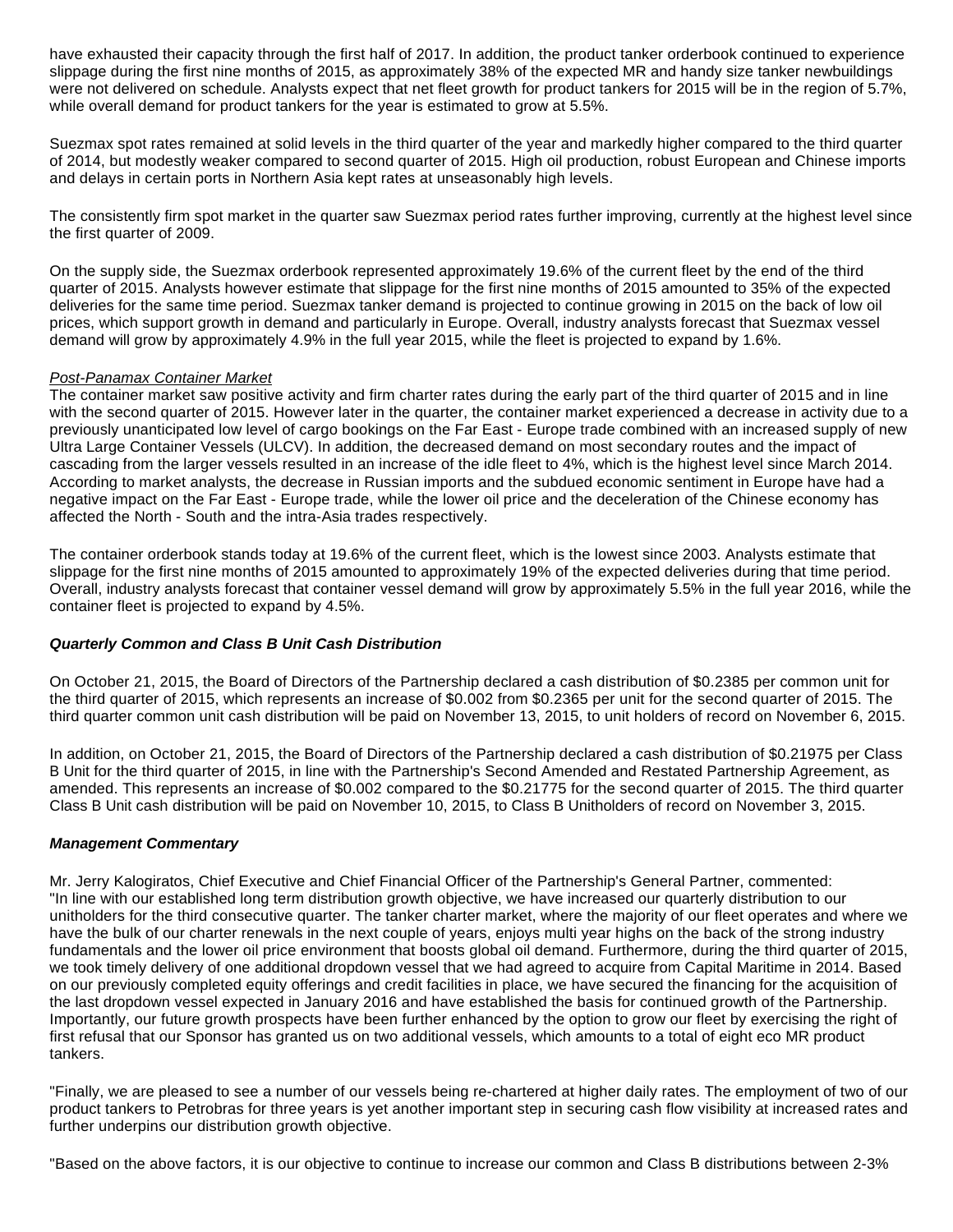have exhausted their capacity through the first half of 2017. In addition, the product tanker orderbook continued to experience slippage during the first nine months of 2015, as approximately 38% of the expected MR and handy size tanker newbuildings were not delivered on schedule. Analysts expect that net fleet growth for product tankers for 2015 will be in the region of 5.7%, while overall demand for product tankers for the year is estimated to grow at 5.5%.

Suezmax spot rates remained at solid levels in the third quarter of the year and markedly higher compared to the third quarter of 2014, but modestly weaker compared to second quarter of 2015. High oil production, robust European and Chinese imports and delays in certain ports in Northern Asia kept rates at unseasonably high levels.

The consistently firm spot market in the quarter saw Suezmax period rates further improving, currently at the highest level since the first quarter of 2009.

On the supply side, the Suezmax orderbook represented approximately 19.6% of the current fleet by the end of the third quarter of 2015. Analysts however estimate that slippage for the first nine months of 2015 amounted to 35% of the expected deliveries for the same time period. Suezmax tanker demand is projected to continue growing in 2015 on the back of low oil prices, which support growth in demand and particularly in Europe. Overall, industry analysts forecast that Suezmax vessel demand will grow by approximately 4.9% in the full year 2015, while the fleet is projected to expand by 1.6%.

# Post-Panamax Container Market

The container market saw positive activity and firm charter rates during the early part of the third quarter of 2015 and in line with the second quarter of 2015. However later in the quarter, the container market experienced a decrease in activity due to a previously unanticipated low level of cargo bookings on the Far East - Europe trade combined with an increased supply of new Ultra Large Container Vessels (ULCV). In addition, the decreased demand on most secondary routes and the impact of cascading from the larger vessels resulted in an increase of the idle fleet to 4%, which is the highest level since March 2014. According to market analysts, the decrease in Russian imports and the subdued economic sentiment in Europe have had a negative impact on the Far East - Europe trade, while the lower oil price and the deceleration of the Chinese economy has affected the North - South and the intra-Asia trades respectively.

The container orderbook stands today at 19.6% of the current fleet, which is the lowest since 2003. Analysts estimate that slippage for the first nine months of 2015 amounted to approximately 19% of the expected deliveries during that time period. Overall, industry analysts forecast that container vessel demand will grow by approximately 5.5% in the full year 2016, while the container fleet is projected to expand by 4.5%.

# **Quarterly Common and Class B Unit Cash Distribution**

On October 21, 2015, the Board of Directors of the Partnership declared a cash distribution of \$0.2385 per common unit for the third quarter of 2015, which represents an increase of \$0.002 from \$0.2365 per unit for the second quarter of 2015. The third quarter common unit cash distribution will be paid on November 13, 2015, to unit holders of record on November 6, 2015.

In addition, on October 21, 2015, the Board of Directors of the Partnership declared a cash distribution of \$0.21975 per Class B Unit for the third quarter of 2015, in line with the Partnership's Second Amended and Restated Partnership Agreement, as amended. This represents an increase of \$0.002 compared to the \$0.21775 for the second quarter of 2015. The third quarter Class B Unit cash distribution will be paid on November 10, 2015, to Class B Unitholders of record on November 3, 2015.

# **Management Commentary**

Mr. Jerry Kalogiratos, Chief Executive and Chief Financial Officer of the Partnership's General Partner, commented: "In line with our established long term distribution growth objective, we have increased our quarterly distribution to our unitholders for the third consecutive quarter. The tanker charter market, where the majority of our fleet operates and where we have the bulk of our charter renewals in the next couple of years, enjoys multi year highs on the back of the strong industry fundamentals and the lower oil price environment that boosts global oil demand. Furthermore, during the third quarter of 2015, we took timely delivery of one additional dropdown vessel that we had agreed to acquire from Capital Maritime in 2014. Based on our previously completed equity offerings and credit facilities in place, we have secured the financing for the acquisition of the last dropdown vessel expected in January 2016 and have established the basis for continued growth of the Partnership. Importantly, our future growth prospects have been further enhanced by the option to grow our fleet by exercising the right of first refusal that our Sponsor has granted us on two additional vessels, which amounts to a total of eight eco MR product tankers.

"Finally, we are pleased to see a number of our vessels being re-chartered at higher daily rates. The employment of two of our product tankers to Petrobras for three years is yet another important step in securing cash flow visibility at increased rates and further underpins our distribution growth objective.

"Based on the above factors, it is our objective to continue to increase our common and Class B distributions between 2-3%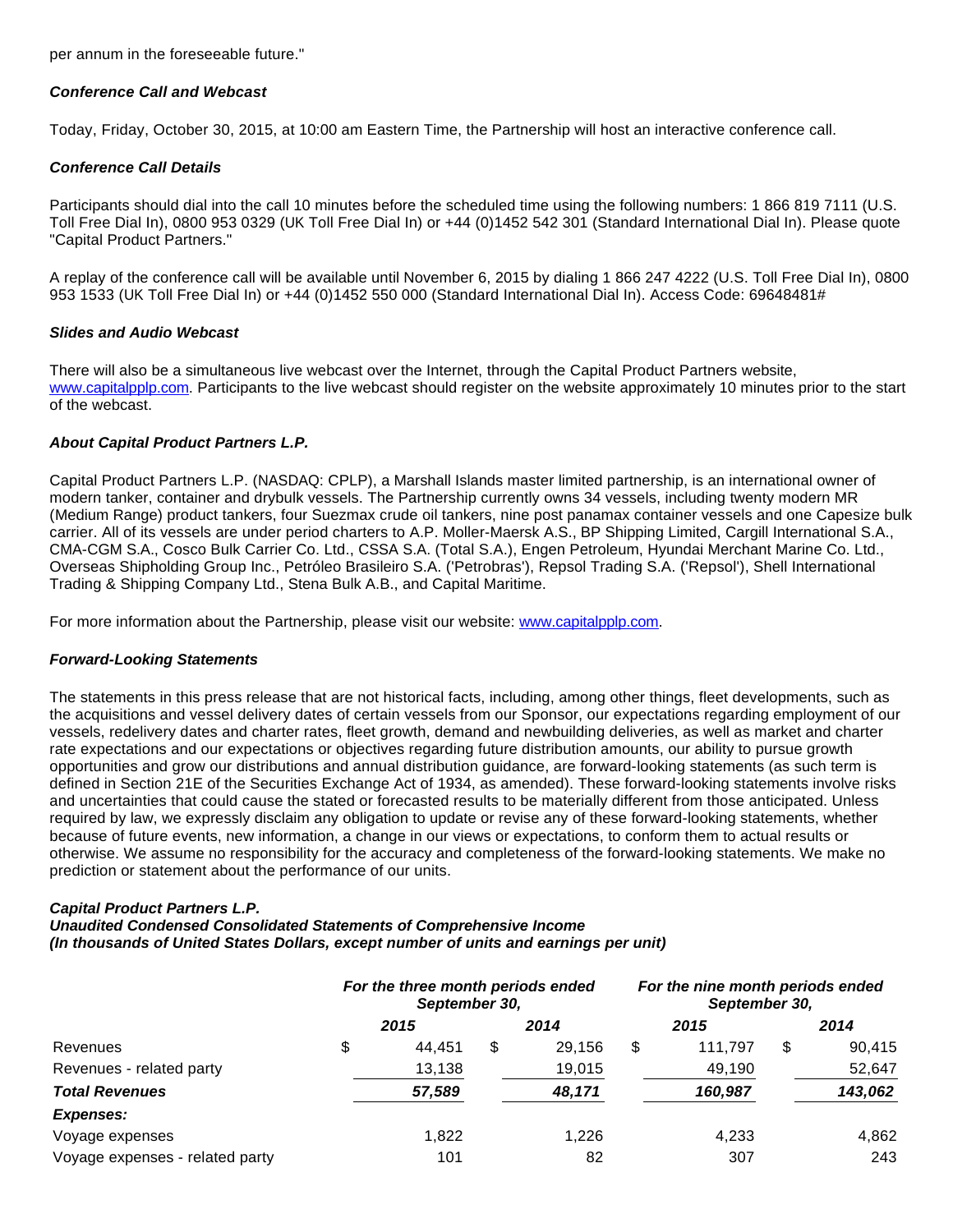per annum in the foreseeable future."

# **Conference Call and Webcast**

Today, Friday, October 30, 2015, at 10:00 am Eastern Time, the Partnership will host an interactive conference call.

# **Conference Call Details**

Participants should dial into the call 10 minutes before the scheduled time using the following numbers: 1 866 819 7111 (U.S. Toll Free Dial In), 0800 953 0329 (UK Toll Free Dial In) or +44 (0)1452 542 301 (Standard International Dial In). Please quote "Capital Product Partners."

A replay of the conference call will be available until November 6, 2015 by dialing 1 866 247 4222 (U.S. Toll Free Dial In), 0800 953 1533 (UK Toll Free Dial In) or +44 (0)1452 550 000 (Standard International Dial In). Access Code: 69648481#

#### **Slides and Audio Webcast**

There will also be a simultaneous live webcast over the Internet, through the Capital Product Partners website, [www.capitalpplp.com](http://www.capitalpplp.com/). Participants to the live webcast should register on the website approximately 10 minutes prior to the start of the webcast.

# **About Capital Product Partners L.P.**

Capital Product Partners L.P. (NASDAQ: CPLP), a Marshall Islands master limited partnership, is an international owner of modern tanker, container and drybulk vessels. The Partnership currently owns 34 vessels, including twenty modern MR (Medium Range) product tankers, four Suezmax crude oil tankers, nine post panamax container vessels and one Capesize bulk carrier. All of its vessels are under period charters to A.P. Moller-Maersk A.S., BP Shipping Limited, Cargill International S.A., CMA-CGM S.A., Cosco Bulk Carrier Co. Ltd., CSSA S.A. (Total S.A.), Engen Petroleum, Hyundai Merchant Marine Co. Ltd., Overseas Shipholding Group Inc., Petróleo Brasileiro S.A. ('Petrobras'), Repsol Trading S.A. ('Repsol'), Shell International Trading & Shipping Company Ltd., Stena Bulk A.B., and Capital Maritime.

For more information about the Partnership, please visit our website: [www.capitalpplp.com](http://www.capitalpplp.com/).

# **Forward-Looking Statements**

The statements in this press release that are not historical facts, including, among other things, fleet developments, such as the acquisitions and vessel delivery dates of certain vessels from our Sponsor, our expectations regarding employment of our vessels, redelivery dates and charter rates, fleet growth, demand and newbuilding deliveries, as well as market and charter rate expectations and our expectations or objectives regarding future distribution amounts, our ability to pursue growth opportunities and grow our distributions and annual distribution guidance, are forward-looking statements (as such term is defined in Section 21E of the Securities Exchange Act of 1934, as amended). These forward-looking statements involve risks and uncertainties that could cause the stated or forecasted results to be materially different from those anticipated. Unless required by law, we expressly disclaim any obligation to update or revise any of these forward-looking statements, whether because of future events, new information, a change in our views or expectations, to conform them to actual results or otherwise. We assume no responsibility for the accuracy and completeness of the forward-looking statements. We make no prediction or statement about the performance of our units.

# **Capital Product Partners L.P.**

**Unaudited Condensed Consolidated Statements of Comprehensive Income (In thousands of United States Dollars, except number of units and earnings per unit)**

|                                 | For the three month periods ended<br>September 30, |    |        | For the nine month periods ended<br>September 30, |         |    |         |
|---------------------------------|----------------------------------------------------|----|--------|---------------------------------------------------|---------|----|---------|
|                                 | 2015                                               |    | 2014   |                                                   | 2015    |    | 2014    |
| Revenues                        | \$<br>44.451                                       | \$ | 29,156 | S                                                 | 111.797 | \$ | 90.415  |
| Revenues - related party        | 13,138                                             |    | 19,015 |                                                   | 49,190  |    | 52,647  |
| <b>Total Revenues</b>           | 57,589                                             |    | 48,171 |                                                   | 160,987 |    | 143,062 |
| <b>Expenses:</b>                |                                                    |    |        |                                                   |         |    |         |
| Voyage expenses                 | 1.822                                              |    | 1.226  |                                                   | 4,233   |    | 4,862   |
| Voyage expenses - related party | 101                                                |    | 82     |                                                   | 307     |    | 243     |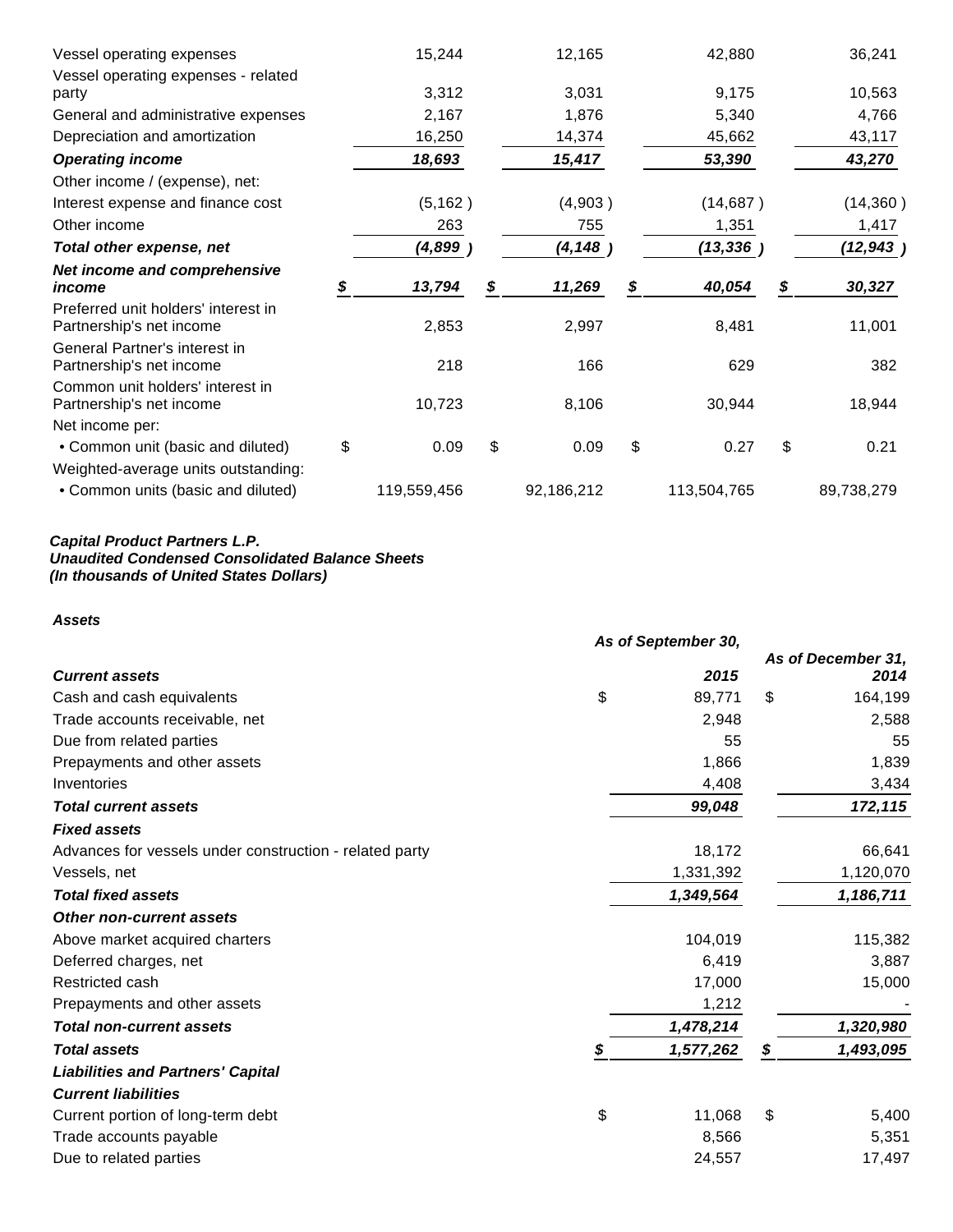| Vessel operating expenses                                       |    | 15,244      | 12,165       | 42,880       | 36,241       |
|-----------------------------------------------------------------|----|-------------|--------------|--------------|--------------|
| Vessel operating expenses - related                             |    |             |              |              |              |
| party                                                           |    | 3,312       | 3,031        | 9,175        | 10,563       |
| General and administrative expenses                             |    | 2,167       | 1,876        | 5,340        | 4,766        |
| Depreciation and amortization                                   |    | 16,250      | 14,374       | 45,662       | 43,117       |
| <b>Operating income</b>                                         |    | 18,693      | 15,417       | 53,390       | 43,270       |
| Other income / (expense), net:                                  |    |             |              |              |              |
| Interest expense and finance cost                               |    | (5, 162)    | (4,903)      | (14, 687)    | (14, 360)    |
| Other income                                                    |    | 263         | 755          | 1,351        | 1,417        |
| Total other expense, net                                        |    | (4,899      | (4, 148)     | (13, 336)    | (12, 943)    |
| Net income and comprehensive                                    |    |             |              |              |              |
| income                                                          | S  | 13,794      | \$<br>11,269 | \$<br>40,054 | \$<br>30,327 |
| Preferred unit holders' interest in<br>Partnership's net income |    | 2,853       | 2,997        | 8,481        | 11,001       |
| General Partner's interest in<br>Partnership's net income       |    | 218         | 166          | 629          | 382          |
| Common unit holders' interest in<br>Partnership's net income    |    | 10,723      | 8,106        | 30,944       | 18,944       |
| Net income per:                                                 |    |             |              |              |              |
| • Common unit (basic and diluted)                               | \$ | 0.09        | \$<br>0.09   | \$<br>0.27   | \$<br>0.21   |
| Weighted-average units outstanding:                             |    |             |              |              |              |
| • Common units (basic and diluted)                              |    | 119,559,456 | 92,186,212   | 113,504,765  | 89,738,279   |

#### **Capital Product Partners L.P. Unaudited Condensed Consolidated Balance Sheets (In thousands of United States Dollars)**

# **Assets**

|                                                         | As of September 30, |                            |
|---------------------------------------------------------|---------------------|----------------------------|
| <b>Current assets</b>                                   | 2015                | As of December 31,<br>2014 |
| Cash and cash equivalents                               | \$<br>89,771        | \$<br>164,199              |
| Trade accounts receivable, net                          | 2,948               | 2,588                      |
| Due from related parties                                | 55                  | 55                         |
| Prepayments and other assets                            | 1,866               | 1,839                      |
| Inventories                                             | 4,408               | 3,434                      |
| <b>Total current assets</b>                             | 99,048              | 172,115                    |
| <b>Fixed assets</b>                                     |                     |                            |
| Advances for vessels under construction - related party | 18,172              | 66,641                     |
| Vessels, net                                            | 1,331,392           | 1,120,070                  |
| <b>Total fixed assets</b>                               | 1,349,564           | 1,186,711                  |
| <b>Other non-current assets</b>                         |                     |                            |
| Above market acquired charters                          | 104,019             | 115,382                    |
| Deferred charges, net                                   | 6,419               | 3,887                      |
| Restricted cash                                         | 17,000              | 15,000                     |
| Prepayments and other assets                            | 1,212               |                            |
| <b>Total non-current assets</b>                         | 1,478,214           | 1,320,980                  |
| <b>Total assets</b>                                     | \$<br>1,577,262     | \$<br>1,493,095            |
| <b>Liabilities and Partners' Capital</b>                |                     |                            |
| <b>Current liabilities</b>                              |                     |                            |
| Current portion of long-term debt                       | \$<br>11,068        | \$<br>5,400                |
| Trade accounts payable                                  | 8,566               | 5,351                      |
| Due to related parties                                  | 24,557              | 17,497                     |
|                                                         |                     |                            |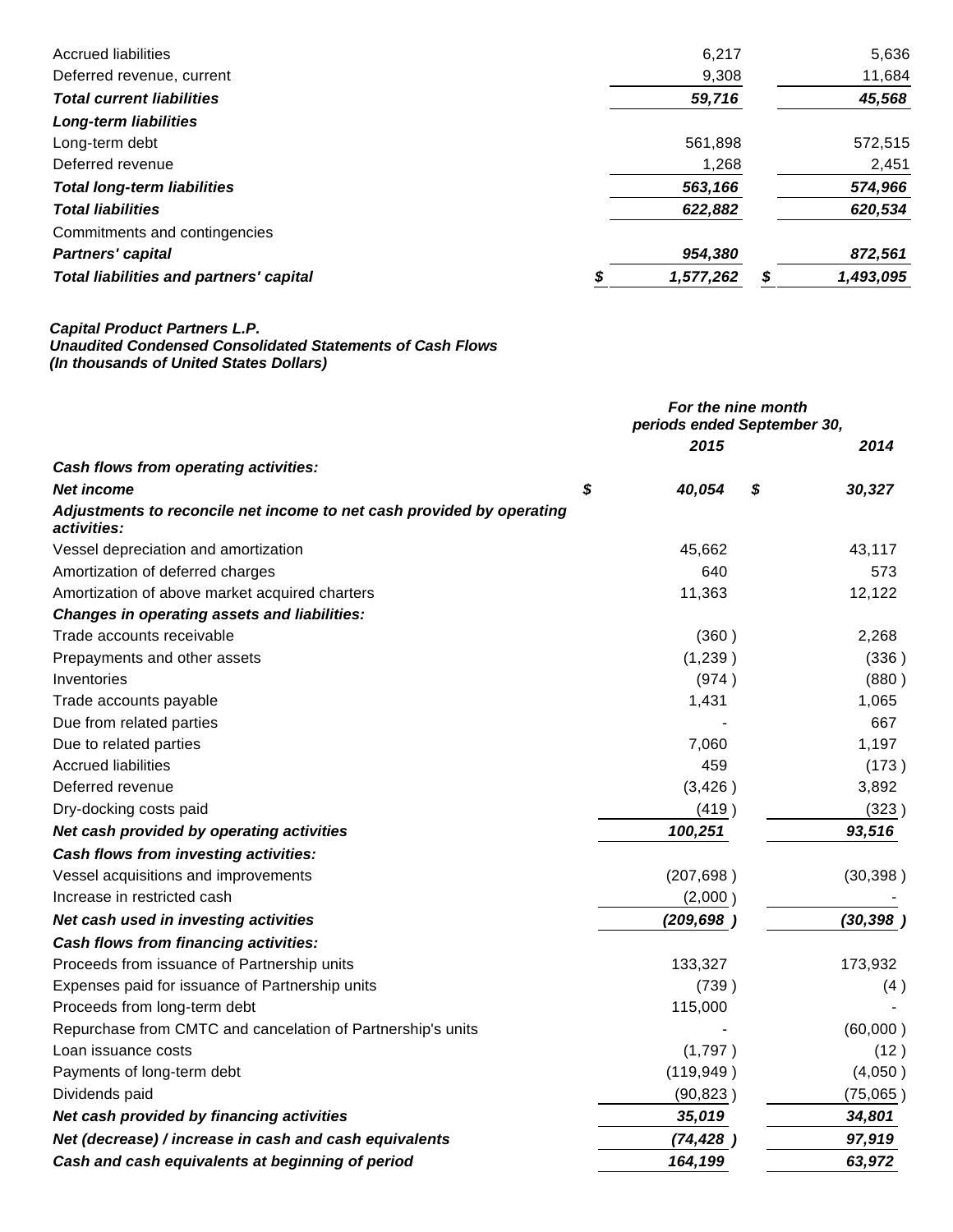| <b>Accrued liabilities</b>                     | 6,217     |   | 5,636     |
|------------------------------------------------|-----------|---|-----------|
| Deferred revenue, current                      | 9,308     |   | 11,684    |
| <b>Total current liabilities</b>               | 59,716    |   | 45,568    |
| <b>Long-term liabilities</b>                   |           |   |           |
| Long-term debt                                 | 561,898   |   | 572,515   |
| Deferred revenue                               | 1,268     |   | 2,451     |
| <b>Total long-term liabilities</b>             | 563,166   |   | 574,966   |
| <b>Total liabilities</b>                       | 622,882   |   | 620,534   |
| Commitments and contingencies                  |           |   |           |
| <b>Partners' capital</b>                       | 954,380   |   | 872,561   |
| <b>Total liabilities and partners' capital</b> | 1,577,262 | S | 1,493,095 |

#### **Capital Product Partners L.P. Unaudited Condensed Consolidated Statements of Cash Flows (In thousands of United States Dollars)**

|                                                                                      | For the nine month<br>periods ended September 30, |    |           |
|--------------------------------------------------------------------------------------|---------------------------------------------------|----|-----------|
|                                                                                      | 2015                                              |    | 2014      |
| Cash flows from operating activities:                                                |                                                   |    |           |
| <b>Net income</b>                                                                    | \$<br>40,054                                      | \$ | 30,327    |
| Adjustments to reconcile net income to net cash provided by operating<br>activities: |                                                   |    |           |
| Vessel depreciation and amortization                                                 | 45,662                                            |    | 43,117    |
| Amortization of deferred charges                                                     | 640                                               |    | 573       |
| Amortization of above market acquired charters                                       | 11,363                                            |    | 12,122    |
| <b>Changes in operating assets and liabilities:</b>                                  |                                                   |    |           |
| Trade accounts receivable                                                            | (360)                                             |    | 2,268     |
| Prepayments and other assets                                                         | (1,239)                                           |    | (336)     |
| Inventories                                                                          | (974)                                             |    | (880)     |
| Trade accounts payable                                                               | 1,431                                             |    | 1,065     |
| Due from related parties                                                             |                                                   |    | 667       |
| Due to related parties                                                               | 7,060                                             |    | 1,197     |
| <b>Accrued liabilities</b>                                                           | 459                                               |    | (173)     |
| Deferred revenue                                                                     | (3, 426)                                          |    | 3,892     |
| Dry-docking costs paid                                                               | (419)                                             |    | (323)     |
| Net cash provided by operating activities                                            | 100,251                                           |    | 93,516    |
| Cash flows from investing activities:                                                |                                                   |    |           |
| Vessel acquisitions and improvements                                                 | (207, 698)                                        |    | (30, 398) |
| Increase in restricted cash                                                          | (2,000)                                           |    |           |
| Net cash used in investing activities                                                | (209, 698)                                        |    | (30, 398) |
| Cash flows from financing activities:                                                |                                                   |    |           |
| Proceeds from issuance of Partnership units                                          | 133,327                                           |    | 173,932   |
| Expenses paid for issuance of Partnership units                                      | (739)                                             |    | (4)       |
| Proceeds from long-term debt                                                         | 115,000                                           |    |           |
| Repurchase from CMTC and cancelation of Partnership's units                          |                                                   |    | (60,000)  |
| Loan issuance costs                                                                  | (1,797)                                           |    | (12)      |
| Payments of long-term debt                                                           | (119, 949)                                        |    | (4,050)   |
| Dividends paid                                                                       | (90, 823)                                         |    | (75,065)  |
| Net cash provided by financing activities                                            | 35,019                                            |    | 34,801    |
| Net (decrease) / increase in cash and cash equivalents                               | (74, 428)                                         |    | 97,919    |
| Cash and cash equivalents at beginning of period                                     | 164,199                                           |    | 63,972    |